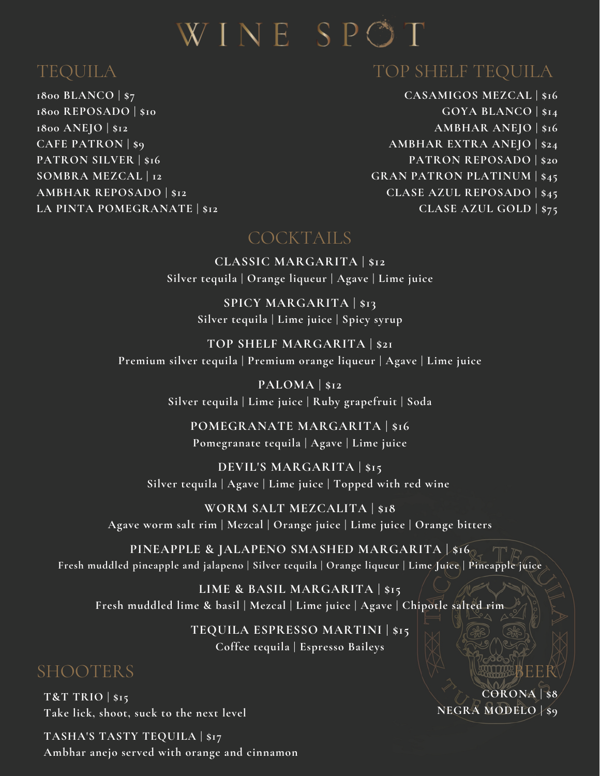# WINE SPOT

# TEQUILA

**1800 BLANCO | \$7 1800 REPOSADO | \$10 1800 ANEJO | \$12 CAFE PATRON | \$9 PATRON SILVER | \$16 SOMBRA MEZCAL | 12 AMBHAR REPOSADO | \$12 LA PINTA POMEGRANATE | \$12**

### TOP SHELF TEQUILA

**CASAMIGOS MEZCAL | \$16 GOYA BLANCO | \$14 AMBHAR ANEJO | \$16 AMBHAR EXTRA ANEJO | \$24 PATRON REPOSADO | \$20 GRAN PATRON PLATINUM | \$45 CLASE AZUL REPOSADO | \$45 CLASE AZUL GOLD | \$75**

#### COCKTAILS

**CLASSIC MARGARITA | \$12 Silver tequila | Orange liqueur | Agave | Lime juice**

> **SPICY MARGARITA | \$13 Silver tequila | Lime juice | Spicy syrup**

**TOP SHELF MARGARITA |\$21 Premium silver tequila | Premium orange liqueur | Agave | Lime juice**

> **PALOMA |\$12 Silver tequila | Lime juice | Ruby grapefruit | Soda**

**POMEGRANATE MARGARITA |\$16 Pomegranate tequila | Agave | Lime juice**

**DEVIL'S MARGARITA |\$15 Silver tequila | Agave | Lime juice | Topped with red wine**

**WORM SALT MEZCALITA |\$18 Agave worm salt rim | Mezcal | Orange juice | Lime juice | Orange bitters**

**PINEAPPLE & JALAPENO SMASHED MARGARITA |\$16 Fresh muddled pineapple and jalapeno | Silver tequila | Orange liqueur | Lime Juice | Pineapple juice**

**LIME & BASIL MARGARITA | \$15 Fresh muddled lime & basil | Mezcal | Lime juice | Agave | Chipotle salted rim**

> **TEQUILA ESPRESSO MARTINI | \$15 Coffee tequila | Espresso Baileys**

## SHOOTERS

**T&T TRIO | \$15 Take lick, shoot, suck to the next level**

**TASHA'S TASTY TEQUILA |\$17 Ambhar anejo served with orange and cinnamon**

**CORONA | \$8 NEGRA MODELO | \$9**

BEER EER